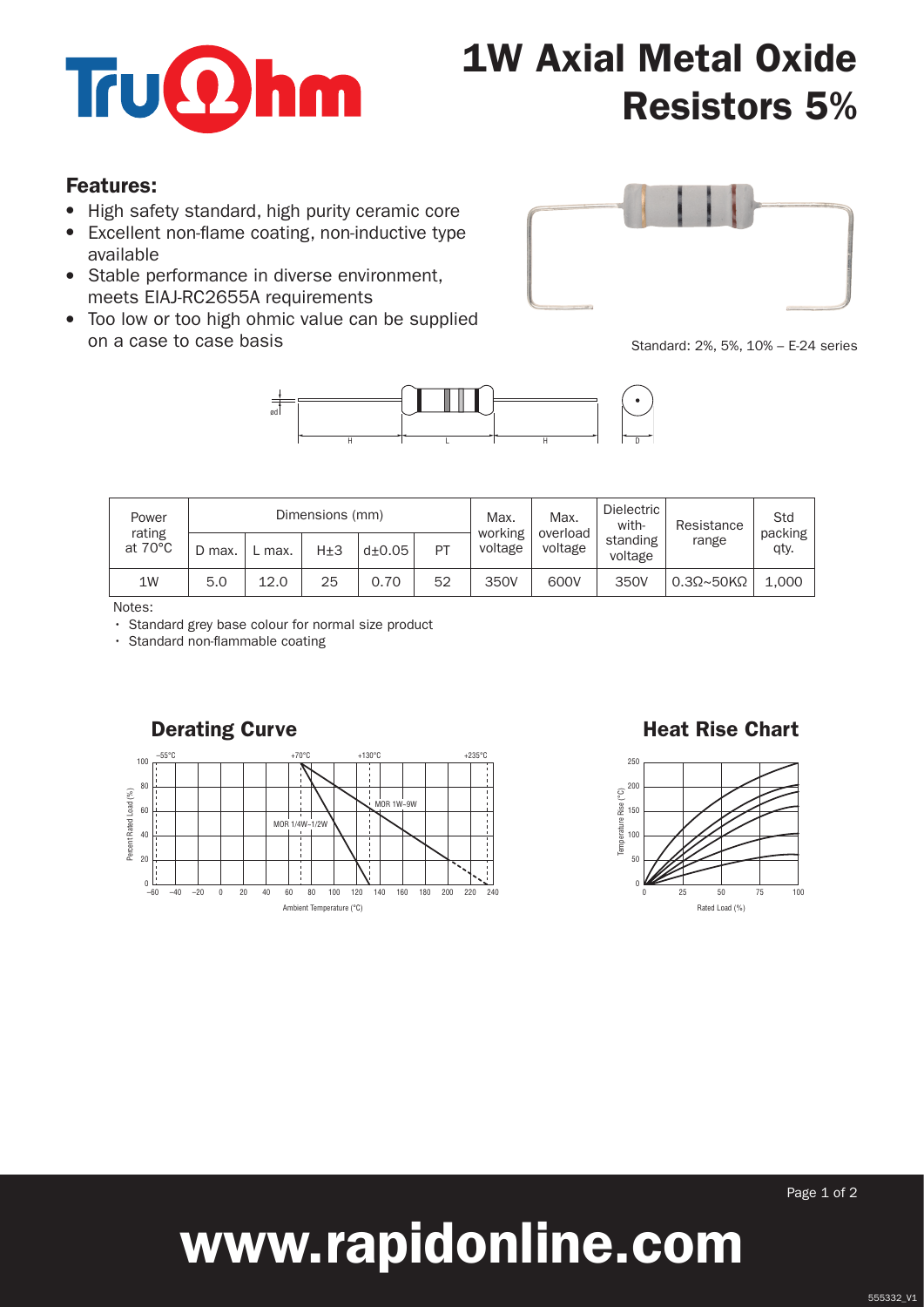

# 1W Axial Metal Oxide Resistors 5%

#### Features:

- High safety standard, high purity ceramic core
- Excellent non-flame coating, non-inductive type available
- Stable performance in diverse environment, meets EIAJ-RC2655A requirements
- Too low or too high ohmic value can be supplied on a case to case basis



Standard: 2%, 5%, 10% – E-24 series



| Power<br>rating<br>at $70^{\circ}$ C | Dimensions (mm) |      |     |               |    | Max.<br>working | Max.<br>overload | Dielectric<br>with- | Resistance                 | Std<br>packing |
|--------------------------------------|-----------------|------|-----|---------------|----|-----------------|------------------|---------------------|----------------------------|----------------|
|                                      | D max.          | max. | H±3 | $d_{\pm}0.05$ | PT | voltage         | voltage          | standing<br>voltage | range                      | qty.           |
| 1W                                   | 5.0             | 12.0 | 25  | 0.70          | 52 | 350V            | 600V             | 350V                | $0.3\Omega \sim 50K\Omega$ | 1.000          |

Notes:

• Standard grey base colour for normal size product

• Standard non-flammable coating



#### Derating Curve **Heat Rise Chart**



Page 1 of 2

# www.rapidonline.com